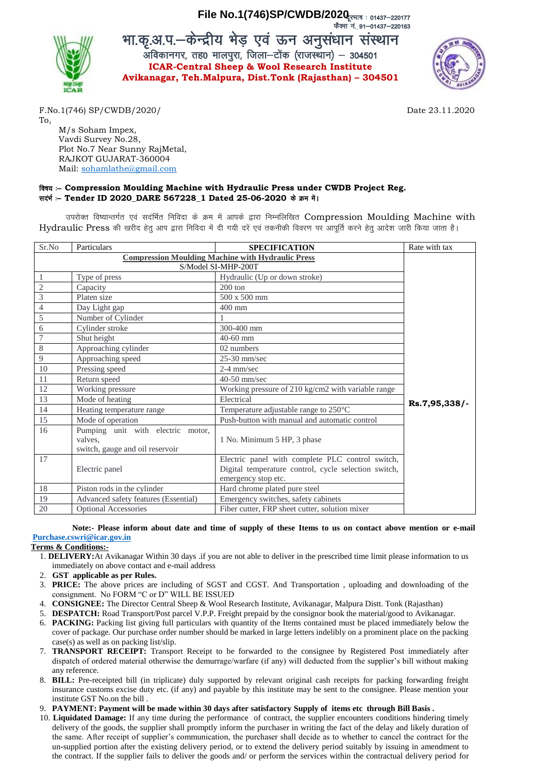**File No.1(746)SP/CWDB/2020** PRIM : 01437–220177 फैक्स नं. 91-01437-220163 भा.कृ.अ.प.–केन्द्रीय भेड़ एवं ऊन अनुसंधान संस्थान अविकानगर, तह0 मालपुरा, जिला-टोंक (राजस्थान) - 304501 **ICAR-Central Sheep & Wool Research Institute Avikanagar, Teh.Malpura, Dist.Tonk (Rajasthan) – 304501**



F.No.1(746) SP/CWDB/2020/ Date 23.11.2020 To,

M/s Soham Impex, Vavdi Survey No.28, Plot No.7 Near Sunny RajMetal, RAJKOT GUJARAT-360004 Mail: [sohamlathe@gmail.com](mailto:sohamlathe@gmail.com)

## fo"k; %& **Compression Moulding Machine with Hydraulic Press under CWDB Project Reg.**  सदर्भ :- Tender ID 2020 DARE 567228 1 Dated 25-06-2020 के क्रम में।

उपरोक्त विष्यान्तर्गत एवं सदर्मित निविदा के क्रम में आपके द्वारा निम्नलिखित Compression Moulding Machine with Hydraulic Press की खरीद हेतु आप द्वारा निविदा में दी गयी दरें एवं तकनीकी विवरण पर आपूर्ति करने हेतु आदेश जारी किया जाता है।

| Sr.No                                                    | Particulars                          | <b>SPECIFICATION</b>                                 | Rate with tax |
|----------------------------------------------------------|--------------------------------------|------------------------------------------------------|---------------|
| <b>Compression Moulding Machine with Hydraulic Press</b> |                                      |                                                      |               |
| S/Model SI-MHP-200T                                      |                                      |                                                      |               |
| $\mathbf{1}$                                             | Type of press                        | Hydraulic (Up or down stroke)                        |               |
| $\overline{2}$                                           | Capacity                             | $200$ ton                                            |               |
| $\overline{3}$                                           | Platen size                          | 500 x 500 mm                                         |               |
| $\overline{4}$                                           | Day Light gap                        | $400$ mm                                             |               |
| $\mathfrak s$                                            | Number of Cylinder                   |                                                      |               |
| $\overline{6}$                                           | Cylinder stroke                      | 300-400 mm                                           |               |
| $\overline{7}$                                           | Shut height                          | $40-60$ mm                                           |               |
| $\,8\,$                                                  | Approaching cylinder                 | 02 numbers                                           |               |
| $\overline{9}$                                           | Approaching speed                    | $25-30$ mm/sec                                       |               |
| $10\,$                                                   | Pressing speed                       | 2-4 mm/sec                                           |               |
| 11                                                       | Return speed                         | 40-50 mm/sec                                         |               |
| 12                                                       | Working pressure                     | Working pressure of 210 kg/cm2 with variable range   |               |
| 13                                                       | Mode of heating                      | Electrical                                           | Rs.7,95,338/- |
| 14                                                       | Heating temperature range            | Temperature adjustable range to 250°C                |               |
| 15                                                       | Mode of operation                    | Push-button with manual and automatic control        |               |
| 16                                                       | Pumping unit with electric motor,    |                                                      |               |
|                                                          | valves.                              | 1 No. Minimum 5 HP, 3 phase                          |               |
|                                                          | switch, gauge and oil reservoir      |                                                      |               |
| 17                                                       |                                      | Electric panel with complete PLC control switch,     |               |
|                                                          | Electric panel                       | Digital temperature control, cycle selection switch, |               |
|                                                          |                                      | emergency stop etc.                                  |               |
| 18                                                       | Piston rods in the cylinder          | Hard chrome plated pure steel                        |               |
| 19                                                       | Advanced safety features (Essential) | Emergency switches, safety cabinets                  |               |
| 20                                                       | <b>Optional Accessories</b>          | Fiber cutter, FRP sheet cutter, solution mixer       |               |

**Note:- Please inform about date and time of supply of these Items to us on contact above mention or e-mail [Purchase.cswri@icar.gov.in](mailto:Purchase.cswri@icar.gov.in)**

## **Terms & Conditions:-**

- 1. **DELIVERY:**At Avikanagar Within 30 days .if you are not able to deliver in the prescribed time limit please information to us immediately on above contact and e-mail address
- 2. **GST applicable as per Rules.**
- 3. **PRICE:** The above prices are including of SGST and CGST. And Transportation , uploading and downloading of the consignment. No FORM "C or D" WILL BE ISSUED
- 4. **CONSIGNEE:** The Director Central Sheep & Wool Research Institute, Avikanagar, Malpura Distt. Tonk (Rajasthan)
- 5. **DESPATCH:** Road Transport/Post parcel V.P.P. Freight prepaid by the consignor book the material/good to Avikanagar.
- 6. **PACKING:** Packing list giving full particulars with quantity of the Items contained must be placed immediately below the cover of package. Our purchase order number should be marked in large letters indelibly on a prominent place on the packing case(s) as well as on packing list/slip.
- 7. **TRANSPORT RECEIPT:** Transport Receipt to be forwarded to the consignee by Registered Post immediately after dispatch of ordered material otherwise the demurrage/warfare (if any) will deducted from the supplier's bill without making any reference.
- 8. **BILL:** Pre-receipted bill (in triplicate) duly supported by relevant original cash receipts for packing forwarding freight insurance customs excise duty etc. (if any) and payable by this institute may be sent to the consignee. Please mention your institute GST No.on the bill .
- 9. **PAYMENT: Payment will be made within 30 days after satisfactory Supply of items etc through Bill Basis .**
- 10. **Liquidated Damage:** If any time during the performance of contract, the supplier encounters conditions hindering timely delivery of the goods, the supplier shall promptly inform the purchaser in writing the fact of the delay and likely duration of the same. After receipt of supplier's communication, the purchaser shall decide as to whether to cancel the contract for the un-supplied portion after the existing delivery period, or to extend the delivery period suitably by issuing in amendment to the contract. If the supplier fails to deliver the goods and/ or perform the services within the contractual delivery period for